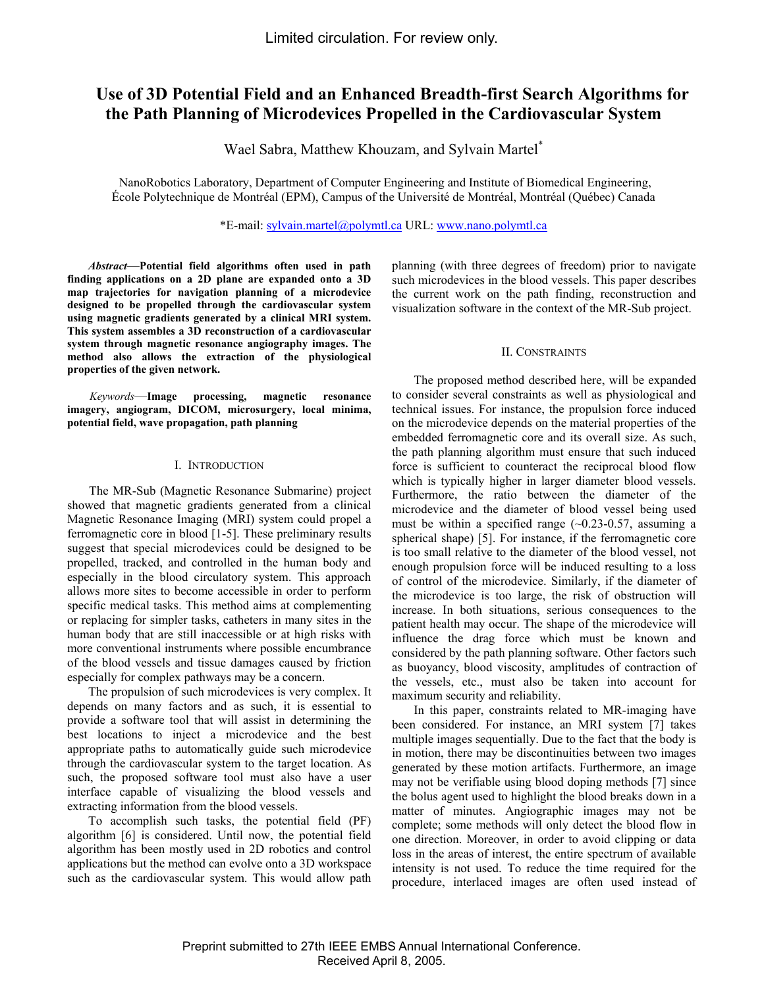# **Use of 3D Potential Field and an Enhanced Breadth-first Search Algorithms for the Path Planning of Microdevices Propelled in the Cardiovascular System**

Wael Sabra, Matthew Khouzam, and Sylvain Martel\*

NanoRobotics Laboratory, Department of Computer Engineering and Institute of Biomedical Engineering, École Polytechnique de Montréal (EPM), Campus of the Université de Montréal, Montréal (Québec) Canada

\*E-mail: sylvain.martel@polymtl.ca URL: www.nano.polymtl.ca

 *Abstract*—**Potential field algorithms often used in path finding applications on a 2D plane are expanded onto a 3D map trajectories for navigation planning of a microdevice designed to be propelled through the cardiovascular system using magnetic gradients generated by a clinical MRI system. This system assembles a 3D reconstruction of a cardiovascular system through magnetic resonance angiography images. The method also allows the extraction of the physiological properties of the given network.** 

*Keywords*—**Image processing, magnetic resonance imagery, angiogram, DICOM, microsurgery, local minima, potential field, wave propagation, path planning** 

### I. INTRODUCTION

 The MR-Sub (Magnetic Resonance Submarine) project showed that magnetic gradients generated from a clinical Magnetic Resonance Imaging (MRI) system could propel a ferromagnetic core in blood [1-5]. These preliminary results suggest that special microdevices could be designed to be propelled, tracked, and controlled in the human body and especially in the blood circulatory system. This approach allows more sites to become accessible in order to perform specific medical tasks. This method aims at complementing or replacing for simpler tasks, catheters in many sites in the human body that are still inaccessible or at high risks with more conventional instruments where possible encumbrance of the blood vessels and tissue damages caused by friction especially for complex pathways may be a concern.

 The propulsion of such microdevices is very complex. It depends on many factors and as such, it is essential to provide a software tool that will assist in determining the best locations to inject a microdevice and the best appropriate paths to automatically guide such microdevice through the cardiovascular system to the target location. As such, the proposed software tool must also have a user interface capable of visualizing the blood vessels and extracting information from the blood vessels.

 To accomplish such tasks, the potential field (PF) algorithm [6] is considered. Until now, the potential field algorithm has been mostly used in 2D robotics and control applications but the method can evolve onto a 3D workspace such as the cardiovascular system. This would allow path planning (with three degrees of freedom) prior to navigate such microdevices in the blood vessels. This paper describes the current work on the path finding, reconstruction and visualization software in the context of the MR-Sub project.

### II. CONSTRAINTS

 The proposed method described here, will be expanded to consider several constraints as well as physiological and technical issues. For instance, the propulsion force induced on the microdevice depends on the material properties of the embedded ferromagnetic core and its overall size. As such, the path planning algorithm must ensure that such induced force is sufficient to counteract the reciprocal blood flow which is typically higher in larger diameter blood vessels. Furthermore, the ratio between the diameter of the microdevice and the diameter of blood vessel being used must be within a specified range  $(\sim 0.23 - 0.57)$ , assuming a spherical shape) [5]. For instance, if the ferromagnetic core is too small relative to the diameter of the blood vessel, not enough propulsion force will be induced resulting to a loss of control of the microdevice. Similarly, if the diameter of the microdevice is too large, the risk of obstruction will increase. In both situations, serious consequences to the patient health may occur. The shape of the microdevice will influence the drag force which must be known and considered by the path planning software. Other factors such as buoyancy, blood viscosity, amplitudes of contraction of the vessels, etc., must also be taken into account for maximum security and reliability.

 In this paper, constraints related to MR-imaging have been considered. For instance, an MRI system [7] takes multiple images sequentially. Due to the fact that the body is in motion, there may be discontinuities between two images generated by these motion artifacts. Furthermore, an image may not be verifiable using blood doping methods [7] since the bolus agent used to highlight the blood breaks down in a matter of minutes. Angiographic images may not be complete; some methods will only detect the blood flow in one direction. Moreover, in order to avoid clipping or data loss in the areas of interest, the entire spectrum of available intensity is not used. To reduce the time required for the procedure, interlaced images are often used instead of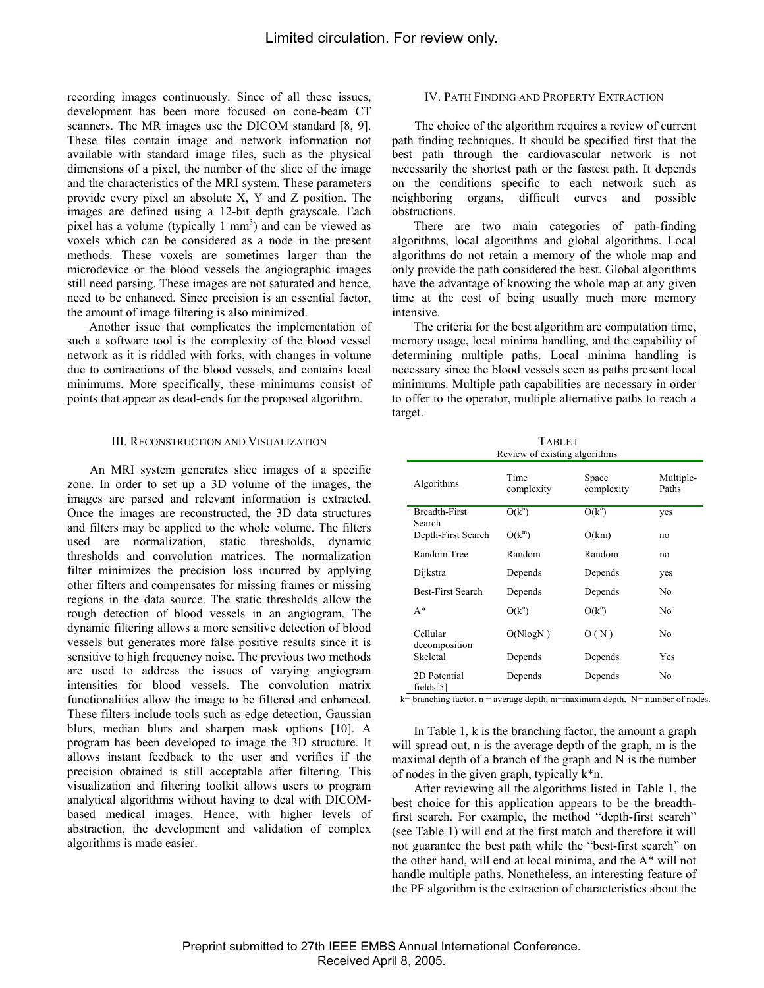recording images continuously. Since of all these issues, development has been more focused on cone-beam CT scanners. The MR images use the DICOM standard [8, 9]. These files contain image and network information not available with standard image files, such as the physical dimensions of a pixel, the number of the slice of the image and the characteristics of the MRI system. These parameters provide every pixel an absolute X, Y and Z position. The images are defined using a 12-bit depth grayscale. Each pixel has a volume (typically  $1 \text{ mm}^3$ ) and can be viewed as voxels which can be considered as a node in the present methods. These voxels are sometimes larger than the microdevice or the blood vessels the angiographic images still need parsing. These images are not saturated and hence, need to be enhanced. Since precision is an essential factor, the amount of image filtering is also minimized.

 Another issue that complicates the implementation of such a software tool is the complexity of the blood vessel network as it is riddled with forks, with changes in volume due to contractions of the blood vessels, and contains local minimums. More specifically, these minimums consist of points that appear as dead-ends for the proposed algorithm.

#### III. RECONSTRUCTION AND VISUALIZATION

An MRI system generates slice images of a specific zone. In order to set up a 3D volume of the images, the images are parsed and relevant information is extracted. Once the images are reconstructed, the 3D data structures and filters may be applied to the whole volume. The filters used are normalization, static thresholds, dynamic thresholds and convolution matrices. The normalization filter minimizes the precision loss incurred by applying other filters and compensates for missing frames or missing regions in the data source. The static thresholds allow the rough detection of blood vessels in an angiogram. The dynamic filtering allows a more sensitive detection of blood vessels but generates more false positive results since it is sensitive to high frequency noise. The previous two methods are used to address the issues of varying angiogram intensities for blood vessels. The convolution matrix functionalities allow the image to be filtered and enhanced. These filters include tools such as edge detection, Gaussian blurs, median blurs and sharpen mask options [10]. A program has been developed to image the 3D structure. It allows instant feedback to the user and verifies if the precision obtained is still acceptable after filtering. This visualization and filtering toolkit allows users to program analytical algorithms without having to deal with DICOMbased medical images. Hence, with higher levels of abstraction, the development and validation of complex algorithms is made easier.

## IV. PATH FINDING AND PROPERTY EXTRACTION

The choice of the algorithm requires a review of current path finding techniques. It should be specified first that the best path through the cardiovascular network is not necessarily the shortest path or the fastest path. It depends on the conditions specific to each network such as neighboring organs, difficult curves and possible obstructions.

 There are two main categories of path-finding algorithms, local algorithms and global algorithms. Local algorithms do not retain a memory of the whole map and only provide the path considered the best. Global algorithms have the advantage of knowing the whole map at any given time at the cost of being usually much more memory intensive.

 The criteria for the best algorithm are computation time, memory usage, local minima handling, and the capability of determining multiple paths. Local minima handling is necessary since the blood vessels seen as paths present local minimums. Multiple path capabilities are necessary in order to offer to the operator, multiple alternative paths to reach a target.

TABLE I

| . שפר<br>Review of existing algorithms |                    |                     |                    |
|----------------------------------------|--------------------|---------------------|--------------------|
| Algorithms                             | Time<br>complexity | Space<br>complexity | Multiple-<br>Paths |
| <b>Breadth-First</b><br>Search         | $O(k^n)$           | $O(k^n)$            | yes                |
| Depth-First Search                     | $O(k^m)$           | O(km)               | no                 |
| Random Tree                            | Random             | Random              | no                 |
| Dijkstra                               | Depends            | Depends             | yes                |
| <b>Best-First Search</b>               | Depends            | Depends             | No                 |
| $A^*$                                  | $O(k^n)$           | $O(k^n)$            | No                 |
| Cellular<br>decomposition              | O(NlogN)           | O(N)                | No                 |
| Skeletal                               | Depends            | Depends             | Yes                |
| 2D Potential<br>fields $[5]$           | Depends            | Depends             | No                 |

k= branching factor, n = average depth, m=maximum depth,  $N=$  number of nodes.

 In Table 1, k is the branching factor, the amount a graph will spread out, n is the average depth of the graph, m is the maximal depth of a branch of the graph and N is the number of nodes in the given graph, typically k\*n.

 After reviewing all the algorithms listed in Table 1, the best choice for this application appears to be the breadthfirst search. For example, the method "depth-first search" (see Table 1) will end at the first match and therefore it will not guarantee the best path while the "best-first search" on the other hand, will end at local minima, and the A\* will not handle multiple paths. Nonetheless, an interesting feature of the PF algorithm is the extraction of characteristics about the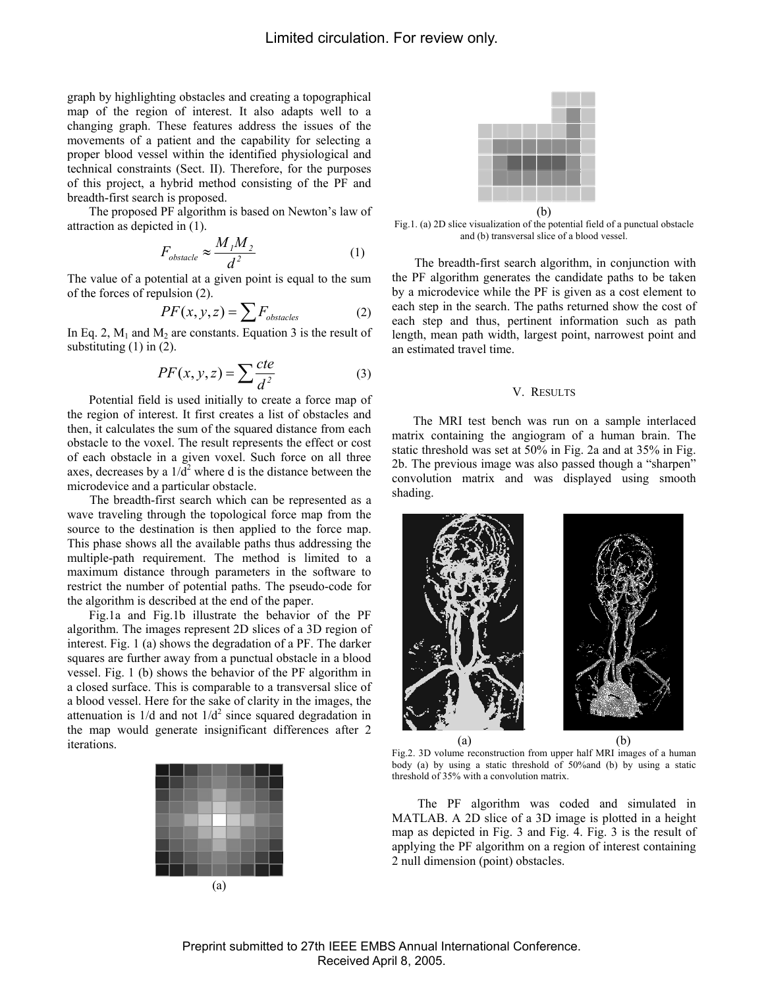graph by highlighting obstacles and creating a topographical map of the region of interest. It also adapts well to a changing graph. These features address the issues of the movements of a patient and the capability for selecting a proper blood vessel within the identified physiological and technical constraints (Sect. II). Therefore, for the purposes of this project, a hybrid method consisting of the PF and breadth-first search is proposed.

 The proposed PF algorithm is based on Newton's law of attraction as depicted in (1).

$$
F_{obstacle} \approx \frac{M_1 M_2}{d^2} \tag{1}
$$

The value of a potential at a given point is equal to the sum of the forces of repulsion (2).

$$
PF(x, y, z) = \sum F_{obstacles}
$$
 (2)

In Eq. 2,  $M_1$  and  $M_2$  are constants. Equation 3 is the result of substituting  $(1)$  in  $(2)$ .

$$
PF(x, y, z) = \sum \frac{cte}{d^2} \tag{3}
$$

 Potential field is used initially to create a force map of the region of interest. It first creates a list of obstacles and then, it calculates the sum of the squared distance from each obstacle to the voxel. The result represents the effect or cost of each obstacle in a given voxel. Such force on all three axes, decreases by a  $1/\overline{d}^2$  where d is the distance between the microdevice and a particular obstacle.

The breadth-first search which can be represented as a wave traveling through the topological force map from the source to the destination is then applied to the force map. This phase shows all the available paths thus addressing the multiple-path requirement. The method is limited to a maximum distance through parameters in the software to restrict the number of potential paths. The pseudo-code for the algorithm is described at the end of the paper.

 Fig.1a and Fig.1b illustrate the behavior of the PF algorithm. The images represent 2D slices of a 3D region of interest. Fig. 1 (a) shows the degradation of a PF. The darker squares are further away from a punctual obstacle in a blood vessel. Fig. 1 (b) shows the behavior of the PF algorithm in a closed surface. This is comparable to a transversal slice of a blood vessel. Here for the sake of clarity in the images, the attenuation is  $1/d$  and not  $1/d^2$  since squared degradation in the map would generate insignificant differences after 2 iterations.





Fig.1. (a) 2D slice visualization of the potential field of a punctual obstacle and (b) transversal slice of a blood vessel.

The breadth-first search algorithm, in conjunction with the PF algorithm generates the candidate paths to be taken by a microdevice while the PF is given as a cost element to each step in the search. The paths returned show the cost of each step and thus, pertinent information such as path length, mean path width, largest point, narrowest point and an estimated travel time.

## V. RESULTS

 The MRI test bench was run on a sample interlaced matrix containing the angiogram of a human brain. The static threshold was set at 50% in Fig. 2a and at 35% in Fig. 2b. The previous image was also passed though a "sharpen" convolution matrix and was displayed using smooth shading.



Fig.2. 3D volume reconstruction from upper half MRI images of a human body (a) by using a static threshold of 50%and (b) by using a static threshold of 35% with a convolution matrix.

 The PF algorithm was coded and simulated in MATLAB. A 2D slice of a 3D image is plotted in a height map as depicted in Fig. 3 and Fig. 4. Fig. 3 is the result of applying the PF algorithm on a region of interest containing 2 null dimension (point) obstacles.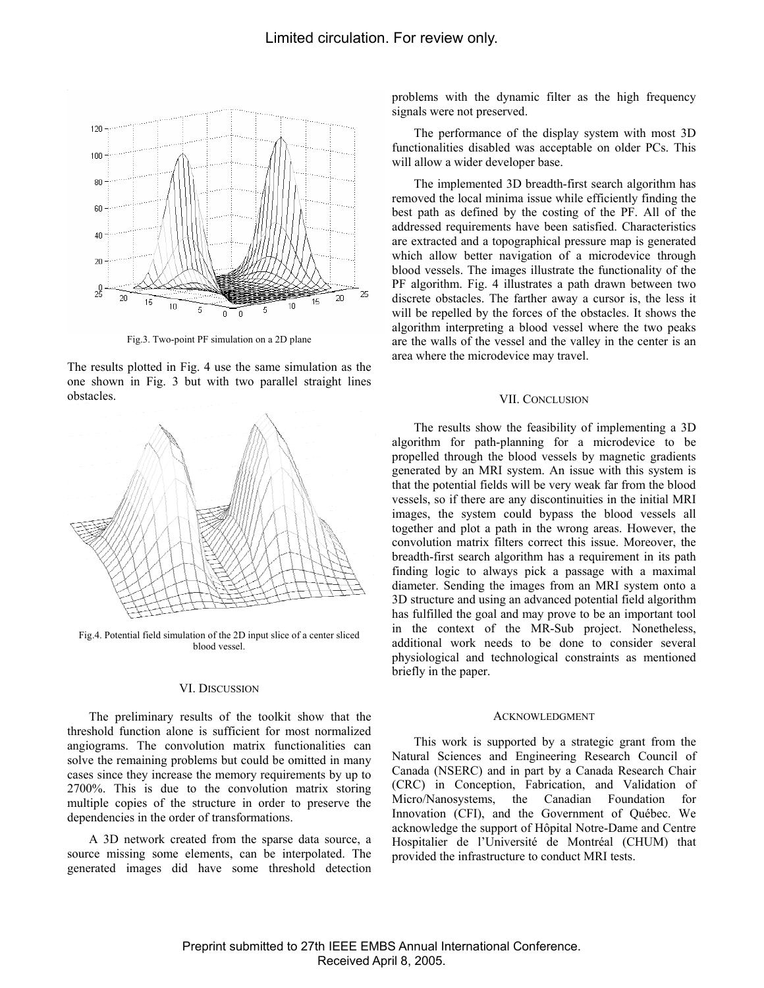

Fig.3. Two-point PF simulation on a 2D plane

The results plotted in Fig. 4 use the same simulation as the one shown in Fig. 3 but with two parallel straight lines obstacles.



Fig.4. Potential field simulation of the 2D input slice of a center sliced blood vessel.

#### VI. DISCUSSION

 The preliminary results of the toolkit show that the threshold function alone is sufficient for most normalized angiograms. The convolution matrix functionalities can solve the remaining problems but could be omitted in many cases since they increase the memory requirements by up to 2700%. This is due to the convolution matrix storing multiple copies of the structure in order to preserve the dependencies in the order of transformations.

 A 3D network created from the sparse data source, a source missing some elements, can be interpolated. The generated images did have some threshold detection problems with the dynamic filter as the high frequency signals were not preserved.

 The performance of the display system with most 3D functionalities disabled was acceptable on older PCs. This will allow a wider developer base.

 The implemented 3D breadth-first search algorithm has removed the local minima issue while efficiently finding the best path as defined by the costing of the PF. All of the addressed requirements have been satisfied. Characteristics are extracted and a topographical pressure map is generated which allow better navigation of a microdevice through blood vessels. The images illustrate the functionality of the PF algorithm. Fig. 4 illustrates a path drawn between two discrete obstacles. The farther away a cursor is, the less it will be repelled by the forces of the obstacles. It shows the algorithm interpreting a blood vessel where the two peaks are the walls of the vessel and the valley in the center is an area where the microdevice may travel.

#### VII. CONCLUSION

 The results show the feasibility of implementing a 3D algorithm for path-planning for a microdevice to be propelled through the blood vessels by magnetic gradients generated by an MRI system. An issue with this system is that the potential fields will be very weak far from the blood vessels, so if there are any discontinuities in the initial MRI images, the system could bypass the blood vessels all together and plot a path in the wrong areas. However, the convolution matrix filters correct this issue. Moreover, the breadth-first search algorithm has a requirement in its path finding logic to always pick a passage with a maximal diameter. Sending the images from an MRI system onto a 3D structure and using an advanced potential field algorithm has fulfilled the goal and may prove to be an important tool in the context of the MR-Sub project. Nonetheless, additional work needs to be done to consider several physiological and technological constraints as mentioned briefly in the paper.

#### ACKNOWLEDGMENT

 This work is supported by a strategic grant from the Natural Sciences and Engineering Research Council of Canada (NSERC) and in part by a Canada Research Chair (CRC) in Conception, Fabrication, and Validation of Micro/Nanosystems, the Canadian Foundation for Innovation (CFI), and the Government of Québec. We acknowledge the support of Hôpital Notre-Dame and Centre Hospitalier de l'Université de Montréal (CHUM) that provided the infrastructure to conduct MRI tests.